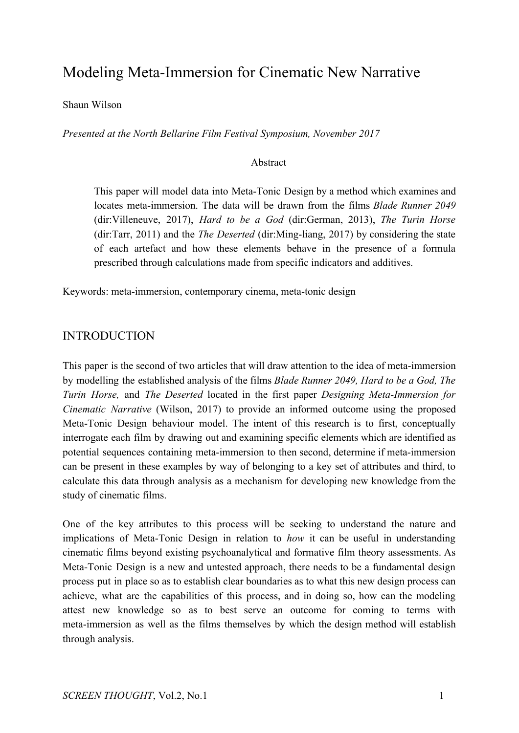# Modeling Meta-Immersion for Cinematic New Narrative

Shaun Wilson

*Presented at the North Bellarine Film Festival Symposium, November 2017*

## Abstract

This paper will model data into Meta-Tonic Design by a method which examines and locates meta-immersion. The data will be drawn from the films *Blade Runner 2049* (dir:Villeneuve, 2017), *Hard to be a God* (dir:German, 2013), *The Turin Horse* (dir:Tarr, 2011) and the *The Deserted* (dir:Ming-liang, 2017) by considering the state of each artefact and how these elements behave in the presence of a formula prescribed through calculations made from specific indicators and additives.

Keywords: meta-immersion, contemporary cinema, meta-tonic design

## INTRODUCTION

This paper is the second of two articles that will draw attention to the idea of meta-immersion by modelling the established analysis of the films *Blade Runner 2049, Hard to be a God, The Turin Horse,* and *The Deserted* located in the first paper *Designing Meta-Immersion for Cinematic Narrative* (Wilson, 2017) to provide an informed outcome using the proposed Meta-Tonic Design behaviour model. The intent of this research is to first, conceptually interrogate each film by drawing out and examining specific elements which are identified as potential sequences containing meta-immersion to then second, determine if meta-immersion can be present in these examples by way of belonging to a key set of attributes and third, to calculate this data through analysis as a mechanism for developing new knowledge from the study of cinematic films.

One of the key attributes to this process will be seeking to understand the nature and implications of Meta-Tonic Design in relation to *how* it can be useful in understanding cinematic films beyond existing psychoanalytical and formative film theory assessments. As Meta-Tonic Design is a new and untested approach, there needs to be a fundamental design process put in place so as to establish clear boundaries as to what this new design process can achieve, what are the capabilities of this process, and in doing so, how can the modeling attest new knowledge so as to best serve an outcome for coming to terms with meta-immersion as well as the films themselves by which the design method will establish through analysis.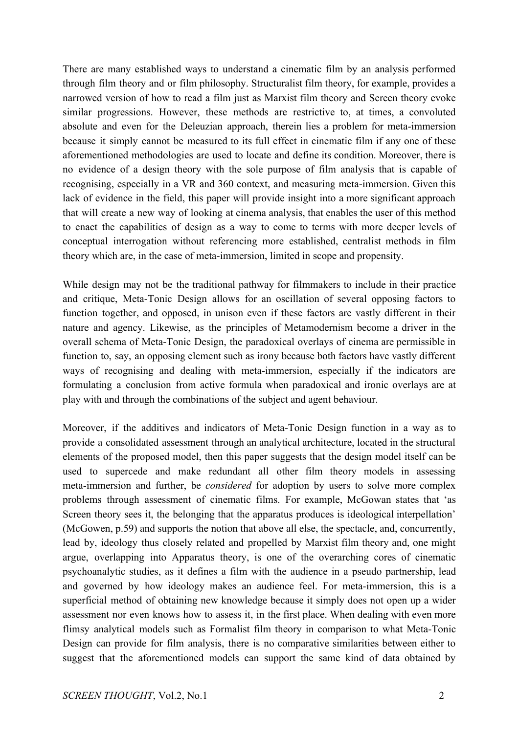There are many established ways to understand a cinematic film by an analysis performed through film theory and or film philosophy. Structuralist film theory, for example, provides a narrowed version of how to read a film just as Marxist film theory and Screen theory evoke similar progressions. However, these methods are restrictive to, at times, a convoluted absolute and even for the Deleuzian approach, therein lies a problem for meta-immersion because it simply cannot be measured to its full effect in cinematic film if any one of these aforementioned methodologies are used to locate and define its condition. Moreover, there is no evidence of a design theory with the sole purpose of film analysis that is capable of recognising, especially in a VR and 360 context, and measuring meta-immersion. Given this lack of evidence in the field, this paper will provide insight into a more significant approach that will create a new way of looking at cinema analysis, that enables the user of this method to enact the capabilities of design as a way to come to terms with more deeper levels of conceptual interrogation without referencing more established, centralist methods in film theory which are, in the case of meta-immersion, limited in scope and propensity.

While design may not be the traditional pathway for filmmakers to include in their practice and critique, Meta-Tonic Design allows for an oscillation of several opposing factors to function together, and opposed, in unison even if these factors are vastly different in their nature and agency. Likewise, as the principles of Metamodernism become a driver in the overall schema of Meta-Tonic Design, the paradoxical overlays of cinema are permissible in function to, say, an opposing element such as irony because both factors have vastly different ways of recognising and dealing with meta-immersion, especially if the indicators are formulating a conclusion from active formula when paradoxical and ironic overlays are at play with and through the combinations of the subject and agent behaviour.

Moreover, if the additives and indicators of Meta-Tonic Design function in a way as to provide a consolidated assessment through an analytical architecture, located in the structural elements of the proposed model, then this paper suggests that the design model itself can be used to supercede and make redundant all other film theory models in assessing meta-immersion and further, be *considered* for adoption by users to solve more complex problems through assessment of cinematic films. For example, McGowan states that 'as Screen theory sees it, the belonging that the apparatus produces is ideological interpellation' (McGowen, p.59) and supports the notion that above all else, the spectacle, and, concurrently, lead by, ideology thus closely related and propelled by Marxist film theory and, one might argue, overlapping into Apparatus theory, is one of the overarching cores of cinematic psychoanalytic studies, as it defines a film with the audience in a pseudo partnership, lead and governed by how ideology makes an audience feel. For meta-immersion, this is a superficial method of obtaining new knowledge because it simply does not open up a wider assessment nor even knows how to assess it, in the first place. When dealing with even more flimsy analytical models such as Formalist film theory in comparison to what Meta-Tonic Design can provide for film analysis, there is no comparative similarities between either to suggest that the aforementioned models can support the same kind of data obtained by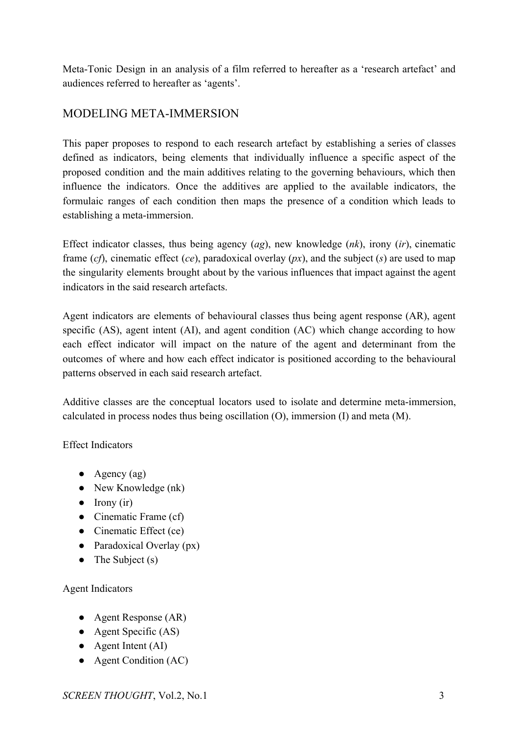Meta-Tonic Design in an analysis of a film referred to hereafter as a 'research artefact' and audiences referred to hereafter as 'agents'.

## MODELING META-IMMERSION

This paper proposes to respond to each research artefact by establishing a series of classes defined as indicators, being elements that individually influence a specific aspect of the proposed condition and the main additives relating to the governing behaviours, which then influence the indicators. Once the additives are applied to the available indicators, the formulaic ranges of each condition then maps the presence of a condition which leads to establishing a meta-immersion.

Effect indicator classes, thus being agency (*ag*), new knowledge (*nk*), irony (*ir*), cinematic frame (*cf*), cinematic effect (*ce*), paradoxical overlay (*px*), and the subject (*s*) are used to map the singularity elements brought about by the various influences that impact against the agent indicators in the said research artefacts.

Agent indicators are elements of behavioural classes thus being agent response (AR), agent specific (AS), agent intent (AI), and agent condition (AC) which change according to how each effect indicator will impact on the nature of the agent and determinant from the outcomes of where and how each effect indicator is positioned according to the behavioural patterns observed in each said research artefact.

Additive classes are the conceptual locators used to isolate and determine meta-immersion, calculated in process nodes thus being oscillation (O), immersion (I) and meta (M).

Effect Indicators

- Agency  $(ag)$
- New Knowledge (nk)
- Irony (ir)
- Cinematic Frame (cf)
- Cinematic Effect (ce)
- Paradoxical Overlay (px)
- The Subject  $(s)$

## Agent Indicators

- Agent Response (AR)
- Agent Specific (AS)
- Agent Intent (AI)
- Agent Condition (AC)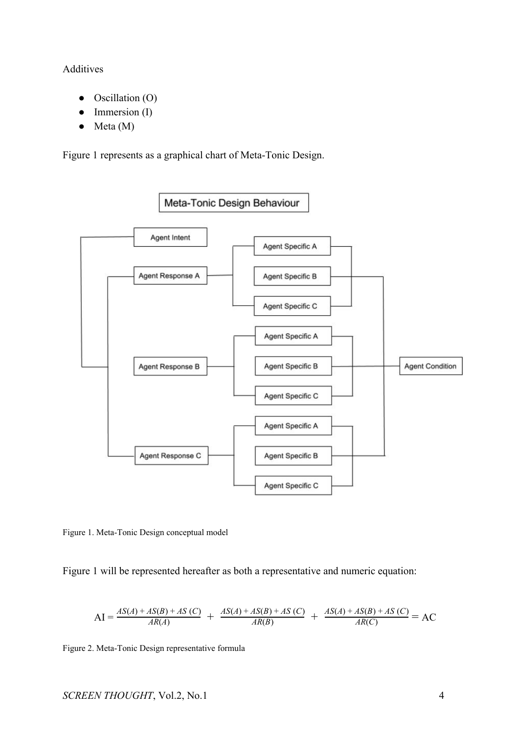### Additives

- Oscillation (O)
- Immersion (I)
- Meta (M)

Figure 1 represents as a graphical chart of Meta-Tonic Design.



Figure 1. Meta-Tonic Design conceptual model

Figure 1 will be represented hereafter as both a representative and numeric equation:

$$
AI = \frac{AS(A) + AS(B) + AS(C)}{AR(A)} + \frac{AS(A) + AS(B) + AS(C)}{AR(B)} + \frac{AS(A) + AS(B) + AS(C)}{AR(C)} = AC
$$

Figure 2. Meta-Tonic Design representative formula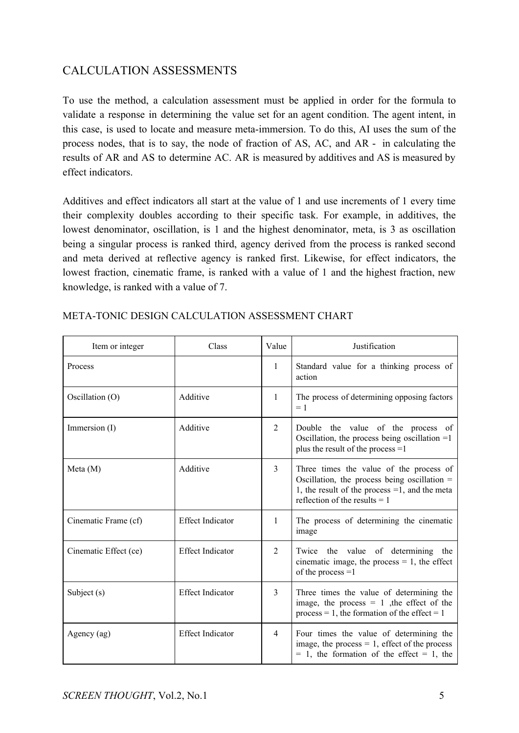## CALCULATION ASSESSMENTS

To use the method, a calculation assessment must be applied in order for the formula to validate a response in determining the value set for an agent condition. The agent intent, in this case, is used to locate and measure meta-immersion. To do this, AI uses the sum of the process nodes, that is to say, the node of fraction of AS, AC, and AR - in calculating the results of AR and AS to determine AC. AR is measured by additives and AS is measured by effect indicators.

Additives and effect indicators all start at the value of 1 and use increments of 1 every time their complexity doubles according to their specific task. For example, in additives, the lowest denominator, oscillation, is 1 and the highest denominator, meta, is 3 as oscillation being a singular process is ranked third, agency derived from the process is ranked second and meta derived at reflective agency is ranked first. Likewise, for effect indicators, the lowest fraction, cinematic frame, is ranked with a value of 1 and the highest fraction, new knowledge, is ranked with a value of 7.

| Item or integer       | Class                   | Value        | Justification                                                                                                                                                                  |
|-----------------------|-------------------------|--------------|--------------------------------------------------------------------------------------------------------------------------------------------------------------------------------|
| Process               |                         | 1            | Standard value for a thinking process of<br>action                                                                                                                             |
| Oscillation (O)       | Additive                | $\mathbf{1}$ | The process of determining opposing factors<br>$=1$                                                                                                                            |
| Immersion $(I)$       | Additive                | 2            | Double the value of the process of<br>Oscillation, the process being oscillation $=1$<br>plus the result of the process =1                                                     |
| Meta(M)               | Additive                | 3            | Three times the value of the process of<br>Oscillation, the process being oscillation =<br>1, the result of the process $=1$ , and the meta<br>reflection of the results $= 1$ |
| Cinematic Frame (cf)  | <b>Effect Indicator</b> | 1            | The process of determining the cinematic<br>image                                                                                                                              |
| Cinematic Effect (ce) | <b>Effect Indicator</b> | 2            | Twice the value of determining the<br>cinematic image, the process $= 1$ , the effect<br>of the process $=1$                                                                   |
| Subject (s)           | <b>Effect Indicator</b> | 3            | Three times the value of determining the<br>image, the process $= 1$ , the effect of the<br>process = 1, the formation of the effect = 1                                       |
| Agency (ag)           | <b>Effect Indicator</b> | 4            | Four times the value of determining the<br>image, the process $= 1$ , effect of the process<br>$= 1$ , the formation of the effect $= 1$ , the                                 |

## META-TONIC DESIGN CALCULATION ASSESSMENT CHART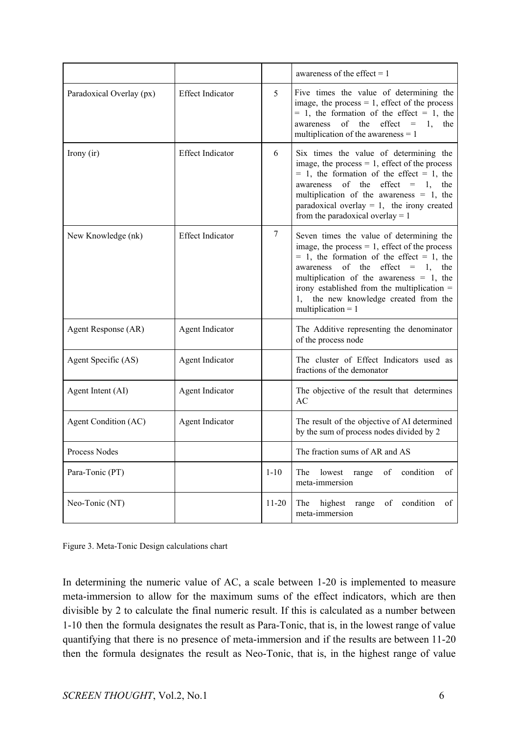|                          |                         |           | awareness of the effect $= 1$                                                                                                                                                                                                                                                                                                                            |
|--------------------------|-------------------------|-----------|----------------------------------------------------------------------------------------------------------------------------------------------------------------------------------------------------------------------------------------------------------------------------------------------------------------------------------------------------------|
| Paradoxical Overlay (px) | <b>Effect Indicator</b> | 5         | Five times the value of determining the<br>image, the process $= 1$ , effect of the process<br>$= 1$ , the formation of the effect $= 1$ , the<br>awareness<br>of the<br>$effect =$<br>1,<br>the<br>multiplication of the awareness $= 1$                                                                                                                |
| Irony (ir)               | <b>Effect Indicator</b> | 6         | Six times the value of determining the<br>image, the process $= 1$ , effect of the process<br>$= 1$ , the formation of the effect $= 1$ , the<br>of the effect $= 1$ , the<br>awareness<br>multiplication of the awareness $= 1$ , the<br>paradoxical overlay $= 1$ , the irony created<br>from the paradoxical overlay $= 1$                            |
| New Knowledge (nk)       | <b>Effect Indicator</b> | 7         | Seven times the value of determining the<br>image, the process $= 1$ , effect of the process<br>$= 1$ , the formation of the effect $= 1$ , the<br>of the effect $= 1$ , the<br>awareness<br>multiplication of the awareness $= 1$ , the<br>irony established from the multiplication =<br>1, the new knowledge created from the<br>multiplication $= 1$ |
| Agent Response (AR)      | Agent Indicator         |           | The Additive representing the denominator<br>of the process node                                                                                                                                                                                                                                                                                         |
| Agent Specific (AS)      | Agent Indicator         |           | The cluster of Effect Indicators used as<br>fractions of the demonator                                                                                                                                                                                                                                                                                   |
| Agent Intent (AI)        | Agent Indicator         |           | The objective of the result that determines<br>AC                                                                                                                                                                                                                                                                                                        |
| Agent Condition (AC)     | Agent Indicator         |           | The result of the objective of AI determined<br>by the sum of process nodes divided by 2                                                                                                                                                                                                                                                                 |
| Process Nodes            |                         |           | The fraction sums of AR and AS                                                                                                                                                                                                                                                                                                                           |
| Para-Tonic (PT)          |                         | $1 - 10$  | of condition<br>of<br>The<br>lowest<br>range<br>meta-immersion                                                                                                                                                                                                                                                                                           |
| Neo-Tonic (NT)           |                         | $11 - 20$ | highest<br>range<br>of condition<br>The<br>of<br>meta-immersion                                                                                                                                                                                                                                                                                          |

Figure 3. Meta-Tonic Design calculations chart

In determining the numeric value of AC, a scale between 1-20 is implemented to measure meta-immersion to allow for the maximum sums of the effect indicators, which are then divisible by 2 to calculate the final numeric result. If this is calculated as a number between 1-10 then the formula designates the result as Para-Tonic, that is, in the lowest range of value quantifying that there is no presence of meta-immersion and if the results are between 11-20 then the formula designates the result as Neo-Tonic, that is, in the highest range of value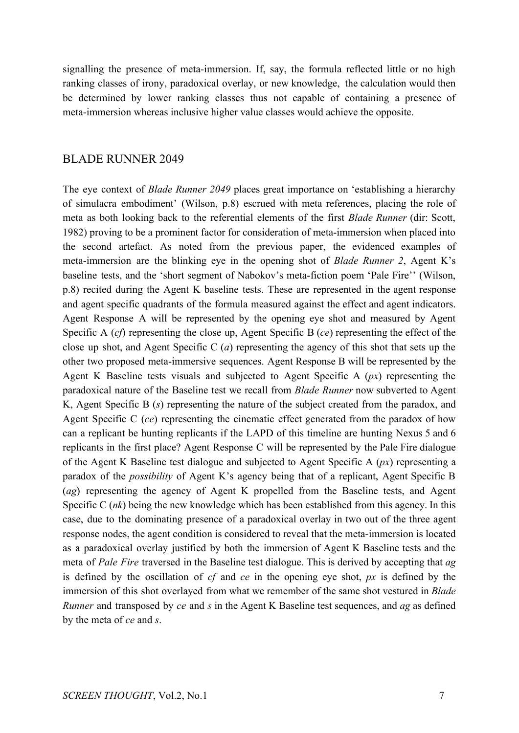signalling the presence of meta-immersion. If, say, the formula reflected little or no high ranking classes of irony, paradoxical overlay, or new knowledge, the calculation would then be determined by lower ranking classes thus not capable of containing a presence of meta-immersion whereas inclusive higher value classes would achieve the opposite.

## BLADE RUNNER 2049

The eye context of *Blade Runner 2049* places great importance on 'establishing a hierarchy of simulacra embodiment' (Wilson, p.8) escrued with meta references, placing the role of meta as both looking back to the referential elements of the first *Blade Runner* (dir: Scott, 1982) proving to be a prominent factor for consideration of meta-immersion when placed into the second artefact. As noted from the previous paper, the evidenced examples of meta-immersion are the blinking eye in the opening shot of *Blade Runner 2*, Agent K's baseline tests, and the 'short segment of Nabokov's meta-fiction poem 'Pale Fire'' (Wilson, p.8) recited during the Agent K baseline tests. These are represented in the agent response and agent specific quadrants of the formula measured against the effect and agent indicators. Agent Response A will be represented by the opening eye shot and measured by Agent Specific A (*cf*) representing the close up, Agent Specific B (*ce*) representing the effect of the close up shot, and Agent Specific C (*a*) representing the agency of this shot that sets up the other two proposed meta-immersive sequences. Agent Response B will be represented by the Agent K Baseline tests visuals and subjected to Agent Specific A (*px*) representing the paradoxical nature of the Baseline test we recall from *Blade Runner* now subverted to Agent K, Agent Specific B (*s*) representing the nature of the subject created from the paradox, and Agent Specific C (*ce*) representing the cinematic effect generated from the paradox of how can a replicant be hunting replicants if the LAPD of this timeline are hunting Nexus 5 and 6 replicants in the first place? Agent Response C will be represented by the Pale Fire dialogue of the Agent K Baseline test dialogue and subjected to Agent Specific A (*px*) representing a paradox of the *possibility* of Agent K's agency being that of a replicant, Agent Specific B (*ag*) representing the agency of Agent K propelled from the Baseline tests, and Agent Specific C (*nk*) being the new knowledge which has been established from this agency. In this case, due to the dominating presence of a paradoxical overlay in two out of the three agent response nodes, the agent condition is considered to reveal that the meta-immersion is located as a paradoxical overlay justified by both the immersion of Agent K Baseline tests and the meta of *Pale Fire* traversed in the Baseline test dialogue. This is derived by accepting that *ag* is defined by the oscillation of *cf* and *ce* in the opening eye shot, *px* is defined by the immersion of this shot overlayed from what we remember of the same shot vestured in *Blade Runner* and transposed by *ce* and *s* in the Agent K Baseline test sequences, and *ag* as defined by the meta of *ce* and *s*.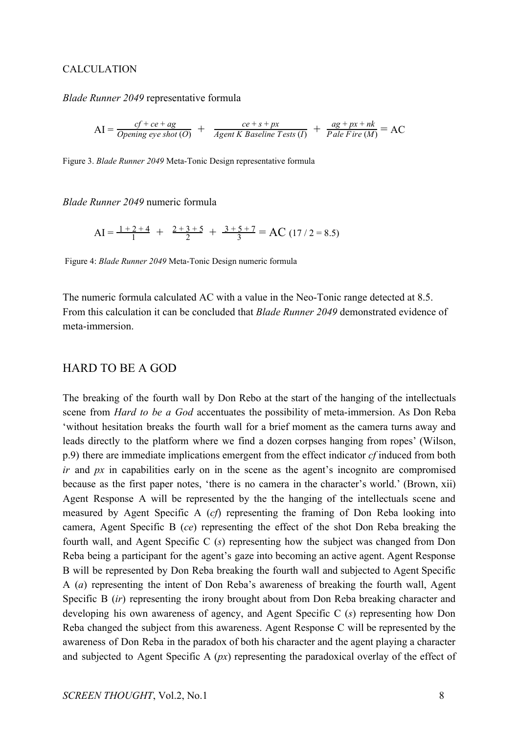#### CALCULATION

#### *Blade Runner 2049* representative formula

$$
AI = \frac{cf + ce + ag}{Opening\ eye\ shot\ (O)} + \frac{ce + s + px}{Agent\ K\ Baseline\ Tests\ (I)} + \frac{ag + px + nk}{Pale\ Fire\ (M)} = AC
$$

Figure 3. *Blade Runner 2049* Meta-Tonic Design representative formula

*Blade Runner 2049* numeric formula

$$
AI = \frac{1+2+4}{1} + \frac{2+3+5}{2} + \frac{3+5+7}{3} = AC (17/2 = 8.5)
$$

Figure 4: *Blade Runner 2049* Meta-Tonic Design numeric formula

The numeric formula calculated AC with a value in the Neo-Tonic range detected at 8.5. From this calculation it can be concluded that *Blade Runner 2049* demonstrated evidence of meta-immersion.

#### HARD TO BE A GOD

The breaking of the fourth wall by Don Rebo at the start of the hanging of the intellectuals scene from *Hard to be a God* accentuates the possibility of meta-immersion. As Don Reba 'without hesitation breaks the fourth wall for a brief moment as the camera turns away and leads directly to the platform where we find a dozen corpses hanging from ropes' (Wilson, p.9) there are immediate implications emergent from the effect indicator *cf* induced from both *ir* and *px* in capabilities early on in the scene as the agent's incognito are compromised because as the first paper notes, 'there is no camera in the character's world.' (Brown, xii) Agent Response A will be represented by the the hanging of the intellectuals scene and measured by Agent Specific A (*cf*) representing the framing of Don Reba looking into camera, Agent Specific B (*ce*) representing the effect of the shot Don Reba breaking the fourth wall, and Agent Specific C (*s*) representing how the subject was changed from Don Reba being a participant for the agent's gaze into becoming an active agent. Agent Response B will be represented by Don Reba breaking the fourth wall and subjected to Agent Specific A (*a*) representing the intent of Don Reba's awareness of breaking the fourth wall, Agent Specific B (*ir*) representing the irony brought about from Don Reba breaking character and developing his own awareness of agency, and Agent Specific C (*s*) representing how Don Reba changed the subject from this awareness. Agent Response C will be represented by the awareness of Don Reba in the paradox of both his character and the agent playing a character and subjected to Agent Specific A (*px*) representing the paradoxical overlay of the effect of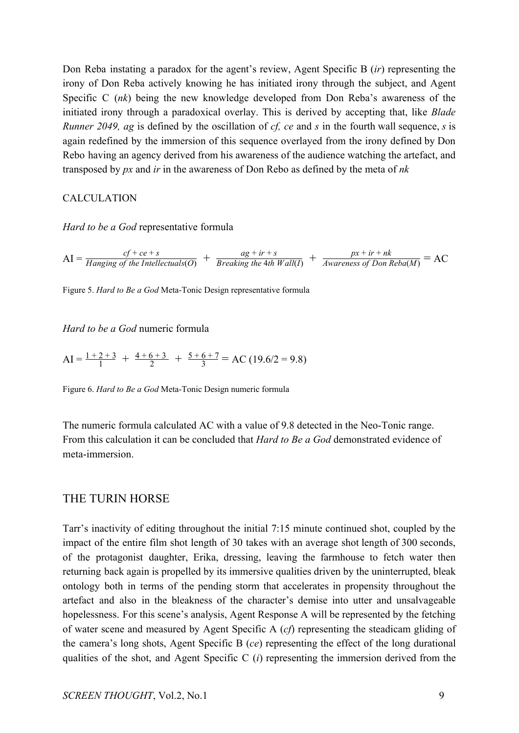Don Reba instating a paradox for the agent's review, Agent Specific B (*ir*) representing the irony of Don Reba actively knowing he has initiated irony through the subject, and Agent Specific C (*nk*) being the new knowledge developed from Don Reba's awareness of the initiated irony through a paradoxical overlay. This is derived by accepting that, like *Blade Runner 2049, ag* is defined by the oscillation of *cf, ce* and *s* in the fourth wall sequence, *s* is again redefined by the immersion of this sequence overlayed from the irony defined by Don Rebo having an agency derived from his awareness of the audience watching the artefact, and transposed by *px* and *ir* in the awareness of Don Rebo as defined by the meta of *nk*

#### CALCULATION

*Hard to be a God* representative formula

 $AI = \frac{cf + ce + s}{Hanging \text{ of the Intellectuals}(O)} + \frac{ag + ir + s}{Breaking \text{ the 4th Wall}(I)} + \frac{px + ir + nk}{Awareness \text{ of Don Reba}(M)} = AC$  $ag + ir + s$ *Breaking the* 4*th Wall*(*I*) *px* + *ir* + *nk Awareness of Don Reba*(*M*)

Figure 5. *Hard to Be a God* Meta-Tonic Design representative formula

*Hard to be a God* numeric formula

 $AI = \frac{1+2+3}{1} + \frac{4+6+3}{2} + \frac{5+6+7}{3} = AC (19.6/2 = 9.8)$ 2  $4 + 6 + 3$ 3  $5 + 6 + 7$ 

Figure 6. *Hard to Be a God* Meta-Tonic Design numeric formula

The numeric formula calculated AC with a value of 9.8 detected in the Neo-Tonic range. From this calculation it can be concluded that *Hard to Be a God* demonstrated evidence of meta-immersion.

## THE TURIN HORSE

Tarr's inactivity of editing throughout the initial 7:15 minute continued shot, coupled by the impact of the entire film shot length of 30 takes with an average shot length of 300 seconds, of the protagonist daughter, Erika, dressing, leaving the farmhouse to fetch water then returning back again is propelled by its immersive qualities driven by the uninterrupted, bleak ontology both in terms of the pending storm that accelerates in propensity throughout the artefact and also in the bleakness of the character's demise into utter and unsalvageable hopelessness. For this scene's analysis, Agent Response A will be represented by the fetching of water scene and measured by Agent Specific A (*cf*) representing the steadicam gliding of the camera's long shots, Agent Specific B (*ce*) representing the effect of the long durational qualities of the shot, and Agent Specific C (*i*) representing the immersion derived from the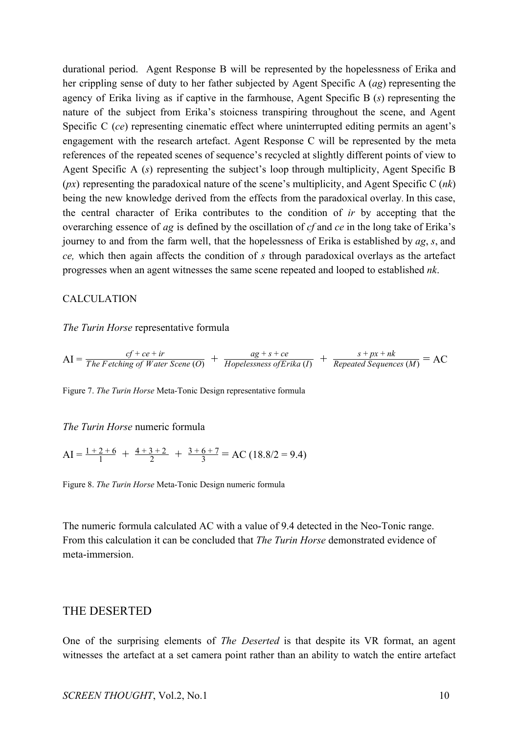durational period. Agent Response B will be represented by the hopelessness of Erika and her crippling sense of duty to her father subjected by Agent Specific A (*ag*) representing the agency of Erika living as if captive in the farmhouse, Agent Specific B (*s*) representing the nature of the subject from Erika's stoicness transpiring throughout the scene, and Agent Specific C (*ce*) representing cinematic effect where uninterrupted editing permits an agent's engagement with the research artefact. Agent Response C will be represented by the meta references of the repeated scenes of sequence's recycled at slightly different points of view to Agent Specific A (*s*) representing the subject's loop through multiplicity, Agent Specific B (*px*) representing the paradoxical nature of the scene's multiplicity, and Agent Specific C (*nk*) being the new knowledge derived from the effects from the paradoxical overlay. In this case, the central character of Erika contributes to the condition of *ir* by accepting that the overarching essence of *ag* is defined by the oscillation of *cf* and *ce* in the long take of Erika's journey to and from the farm well, that the hopelessness of Erika is established by *ag*, *s*, and *ce,* which then again affects the condition of *s* through paradoxical overlays as the artefact progresses when an agent witnesses the same scene repeated and looped to established *nk*.

#### CALCULATION

#### *The Turin Horse* representative formula

$$
AI = \frac{cf + ce + ir}{The Fetching of Water Score (O)} + \frac{ag + s + ce}{Hopelessness of Erika (I)} + \frac{s + px + nk}{Repeated Sequences (M)} = AC
$$

Figure 7. *The Turin Horse* Meta-Tonic Design representative formula

#### *The Turin Horse* numeric formula

$$
AI = \frac{1+2+6}{1} + \frac{4+3+2}{2} + \frac{3+6+7}{3} = AC (18.8/2 = 9.4)
$$

Figure 8. *The Turin Horse* Meta-Tonic Design numeric formula

The numeric formula calculated AC with a value of 9.4 detected in the Neo-Tonic range. From this calculation it can be concluded that *The Turin Horse* demonstrated evidence of meta-immersion.

## THE DESERTED

One of the surprising elements of *The Deserted* is that despite its VR format, an agent witnesses the artefact at a set camera point rather than an ability to watch the entire artefact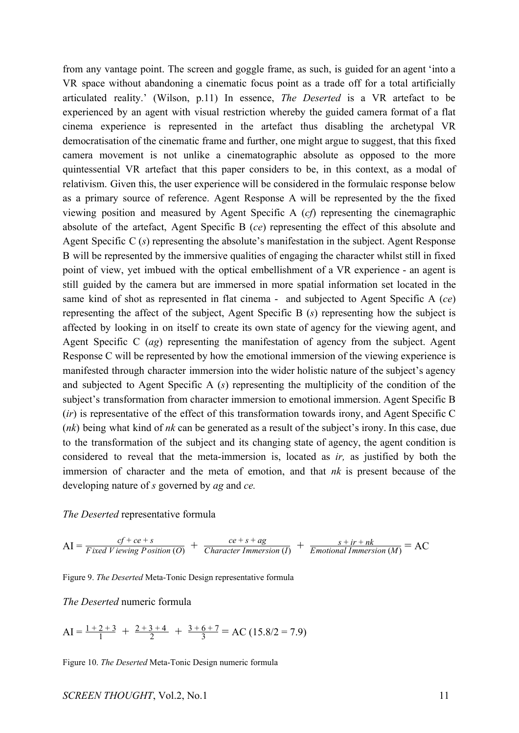from any vantage point. The screen and goggle frame, as such, is guided for an agent 'into a VR space without abandoning a cinematic focus point as a trade off for a total artificially articulated reality.' (Wilson, p.11) In essence, *The Deserted* is a VR artefact to be experienced by an agent with visual restriction whereby the guided camera format of a flat cinema experience is represented in the artefact thus disabling the archetypal VR democratisation of the cinematic frame and further, one might argue to suggest, that this fixed camera movement is not unlike a cinematographic absolute as opposed to the more quintessential VR artefact that this paper considers to be, in this context, as a modal of relativism. Given this, the user experience will be considered in the formulaic response below as a primary source of reference. Agent Response A will be represented by the the fixed viewing position and measured by Agent Specific A (*cf*) representing the cinemagraphic absolute of the artefact, Agent Specific B (*ce*) representing the effect of this absolute and Agent Specific C (*s*) representing the absolute's manifestation in the subject. Agent Response B will be represented by the immersive qualities of engaging the character whilst still in fixed point of view, yet imbued with the optical embellishment of a VR experience - an agent is still guided by the camera but are immersed in more spatial information set located in the same kind of shot as represented in flat cinema - and subjected to Agent Specific A (*ce*) representing the affect of the subject, Agent Specific B (*s*) representing how the subject is affected by looking in on itself to create its own state of agency for the viewing agent, and Agent Specific C (*ag*) representing the manifestation of agency from the subject. Agent Response C will be represented by how the emotional immersion of the viewing experience is manifested through character immersion into the wider holistic nature of the subject's agency and subjected to Agent Specific A (*s*) representing the multiplicity of the condition of the subject's transformation from character immersion to emotional immersion. Agent Specific B (*ir*) is representative of the effect of this transformation towards irony, and Agent Specific C (*nk*) being what kind of *nk* can be generated as a result of the subject's irony. In this case, due to the transformation of the subject and its changing state of agency, the agent condition is considered to reveal that the meta-immersion is, located as *ir,* as justified by both the immersion of character and the meta of emotion, and that *nk* is present because of the developing nature of *s* governed by *ag* and *ce.*

#### *The Deserted* representative formula

$$
AI = \frac{cf + ce + s}{Fixed \; V \; is \; wing \; Position\; (O)} + \frac{ce + s + ag}{Character \; Immersion\; (I)} + \frac{s + ir + nk}{Emotional \; Immersion\; (M)} = AC
$$

Figure 9. *The Deserted* Meta-Tonic Design representative formula

*The Deserted* numeric formula

$$
AI = \frac{1+2+3}{1} + \frac{2+3+4}{2} + \frac{3+6+7}{3} = AC (15.8/2 = 7.9)
$$

Figure 10. *The Deserted* Meta-Tonic Design numeric formula

#### *SCREEN THOUGHT*, Vol.2, No.1 11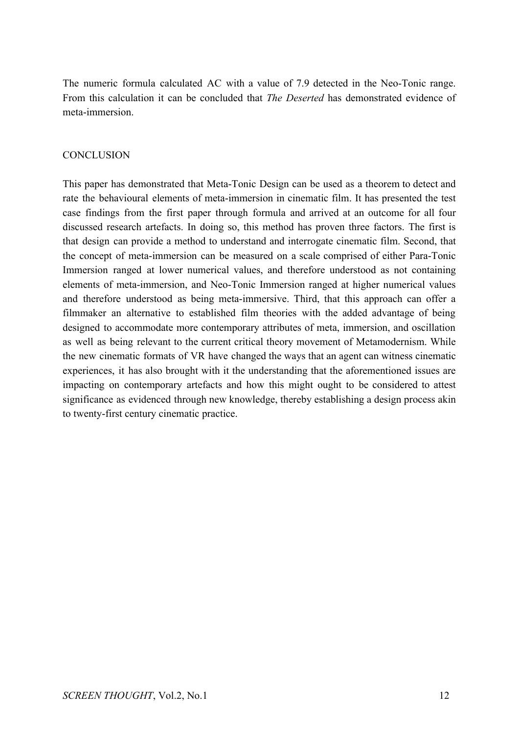The numeric formula calculated AC with a value of 7.9 detected in the Neo-Tonic range. From this calculation it can be concluded that *The Deserted* has demonstrated evidence of meta-immersion.

## **CONCLUSION**

This paper has demonstrated that Meta-Tonic Design can be used as a theorem to detect and rate the behavioural elements of meta-immersion in cinematic film. It has presented the test case findings from the first paper through formula and arrived at an outcome for all four discussed research artefacts. In doing so, this method has proven three factors. The first is that design can provide a method to understand and interrogate cinematic film. Second, that the concept of meta-immersion can be measured on a scale comprised of either Para-Tonic Immersion ranged at lower numerical values, and therefore understood as not containing elements of meta-immersion, and Neo-Tonic Immersion ranged at higher numerical values and therefore understood as being meta-immersive. Third, that this approach can offer a filmmaker an alternative to established film theories with the added advantage of being designed to accommodate more contemporary attributes of meta, immersion, and oscillation as well as being relevant to the current critical theory movement of Metamodernism. While the new cinematic formats of VR have changed the ways that an agent can witness cinematic experiences, it has also brought with it the understanding that the aforementioned issues are impacting on contemporary artefacts and how this might ought to be considered to attest significance as evidenced through new knowledge, thereby establishing a design process akin to twenty-first century cinematic practice.